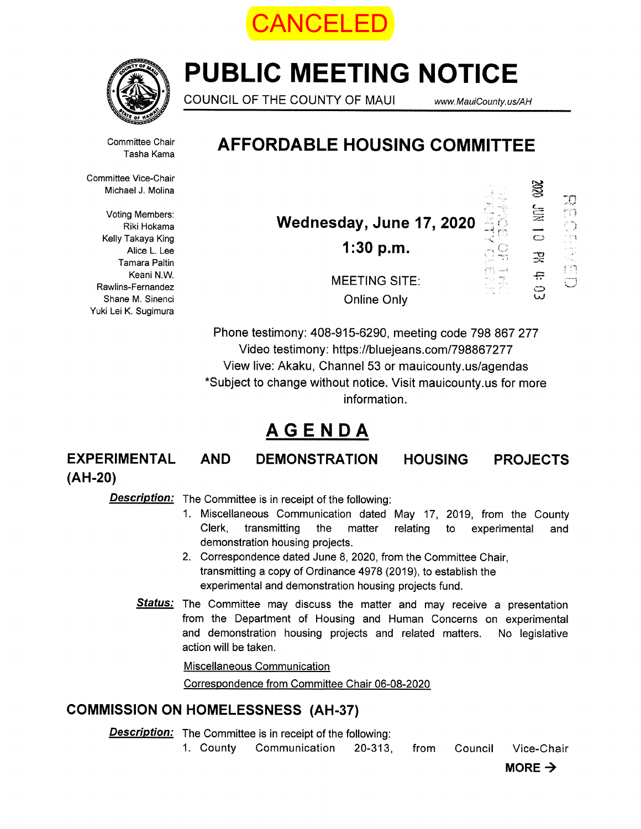



# PUBLIC MEETING NOTICE

COUNCIL OF THE COUNTY OF MAUI www.MauiCounty.us/AH

C—-- —

꽃 e င္ပ  $\mathbb{Z}$ 

 $\frac{O}{O}$ 

SS.

Committee Chair Tasha Kama

## AFFORDABLE HOUSING COMMITTEE

Committee Vice-Chair Michael J. Molina

Voting Members: Riki Hokama Kelly Takaya King Alice L. Lee Tamara Paltin Keani N.W. Rawlins-Fernandez Shane M. Sinenci Yuki Lei K. Sugimura

Wednesday, June 17, 2020 1:30 p.m.

MEETING SITE Online Only

Phone testimony: 408-915-6290, meeting code 798 867 277 Video testimony: https://bluejeans.com/798867277 View live: Akaku, Channel 53 or mauicounty.us/agendas \*Subject to change without notice. Visit mauicounty.us for more information.

## AGENDA

EXPERIMENTAL AND DEMONSTRATION HOUSING PROJECTS (AH-20)

Description: The Committee is in receipt of the following:

- 1. Miscellaneous Communication dated May 17, 2019, from the County Clerk, transmitting the matter relating to experimental and demonstration housing projects.
- 2. Correspondence dated June 8, 2020, from the Committee Chair, transmitting a copy of Ordinance 4978 (2019), to establish the experimental and demonstration housing projects fund.
- Status: The Committee may discuss the matter and may receive a presentation from the Department of Housing and Human Concerns on experimental and demonstration housing projects and related matters. No legislative action will be taken.

Miscellaneous Communication

Correspondence from Committee Chair 06-08-2020

## COMMISSION ON HOMELESSNESS (AH-37)

**Description:** The Committee is in receipt of the following:

1. County Communication 20-313, from Council Vice-Chair

MORE  $\rightarrow$